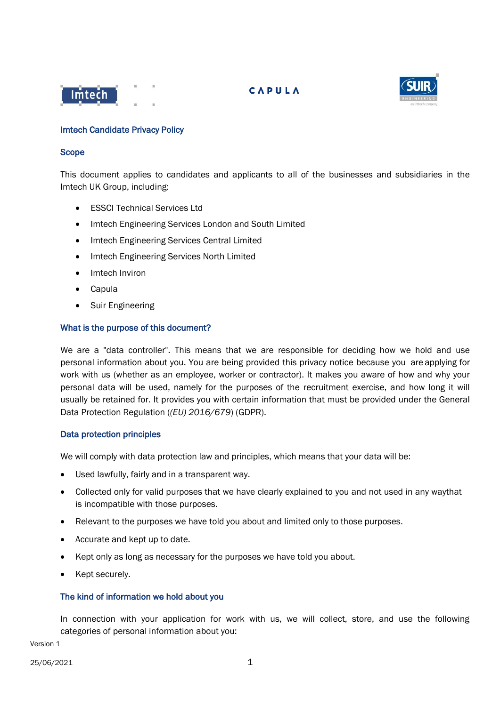



## Imtech Candidate Privacy Policy

#### Scope

This document applies to candidates and applicants to all of the businesses and subsidiaries in the Imtech UK Group, including:

- ESSCI Technical Services Ltd
- Imtech Engineering Services London and South Limited
- Imtech Engineering Services Central Limited
- Imtech Engineering Services North Limited
- Imtech Inviron
- Capula
- Suir Engineering

### What is the purpose of this document?

We are a "data controller". This means that we are responsible for deciding how we hold and use personal information about you. You are being provided this privacy notice because you are applying for work with us (whether as an employee, worker or contractor). It makes you aware of how and why your personal data will be used, namely for the purposes of the recruitment exercise, and how long it will usually be retained for. It provides you with certain information that must be provided under the General Data Protection Regulation (*(EU) 2016/679*) (GDPR).

### Data protection principles

We will comply with data protection law and principles, which means that your data will be:

- Used lawfully, fairly and in a transparent way.
- Collected only for valid purposes that we have clearly explained to you and not used in any waythat is incompatible with those purposes.
- Relevant to the purposes we have told you about and limited only to those purposes.
- Accurate and kept up to date.
- Kept only as long as necessary for the purposes we have told you about.
- Kept securely.

### The kind of information we hold about you

In connection with your application for work with us, we will collect, store, and use the following categories of personal information about you:

Version 1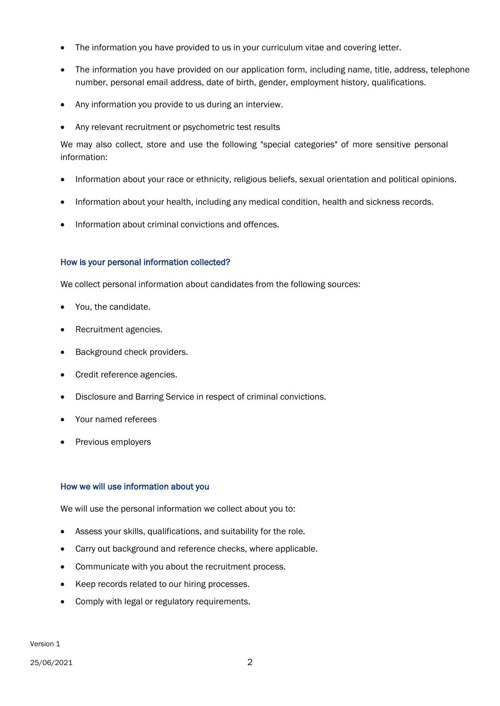- The information you have provided to us in your curriculum vitae and covering letter.
- The information you have provided on our application form, including name, title, address, telephone number, personal email address, date of birth, gender, employment history, qualifications.
- Any information you provide to us during an interview.
- Any relevant recruitment or psychometric test results

We may also collect, store and use the following "special categories" of more sensitive personal information:

- Information about your race or ethnicity, religious beliefs, sexual orientation and political opinions.
- Information about your health, including any medical condition, health and sickness records.
- Information about criminal convictions and offences.

## How is your personal information collected?

We collect personal information about candidates from the following sources:

- You, the candidate.
- Recruitment agencies.
- Background check providers.
- Credit reference agencies.
- Disclosure and Barring Service in respect of criminal convictions.
- Your named referees
- Previous employers

## How we will use information about you

We will use the personal information we collect about you to:

- Assess your skills, qualifications, and suitability for the role.
- Carry out background and reference checks, where applicable.
- Communicate with you about the recruitment process.
- Keep records related to our hiring processes.
- Comply with legal or regulatory requirements.

Version 1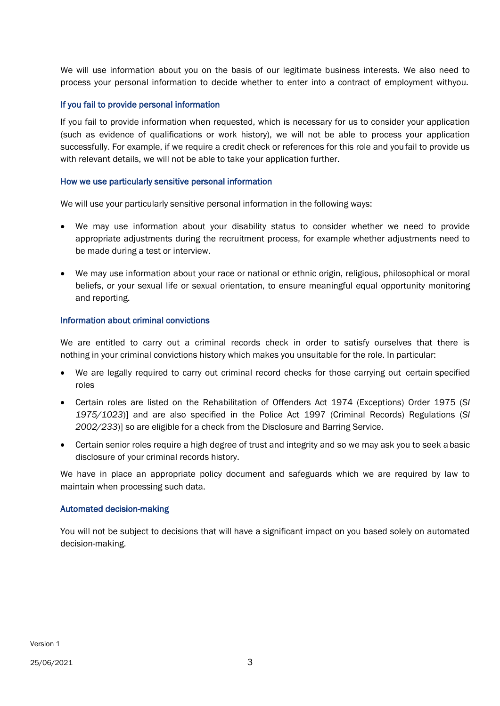We will use information about you on the basis of our legitimate business interests. We also need to process your personal information to decide whether to enter into a contract of employment withyou.

## If you fail to provide personal information

If you fail to provide information when requested, which is necessary for us to consider your application (such as evidence of qualifications or work history), we will not be able to process your application successfully. For example, if we require a credit check or references for this role and youfail to provide us with relevant details, we will not be able to take your application further.

### How we use particularly sensitive personal information

We will use your particularly sensitive personal information in the following ways:

- We may use information about your disability status to consider whether we need to provide appropriate adjustments during the recruitment process, for example whether adjustments need to be made during a test or interview.
- We may use information about your race or national or ethnic origin, religious, philosophical or moral beliefs, or your sexual life or sexual orientation, to ensure meaningful equal opportunity monitoring and reporting.

## Information about criminal convictions

We are entitled to carry out a criminal records check in order to satisfy ourselves that there is nothing in your criminal convictions history which makes you unsuitable for the role. In particular:

- We are legally required to carry out criminal record checks for those carrying out certain specified roles
- Certain roles are listed on the Rehabilitation of Offenders Act 1974 (Exceptions) Order 1975 (*SI 1975/1023*)] and are also specified in the Police Act 1997 (Criminal Records) Regulations (*SI 2002/233*)] so are eligible for a check from the Disclosure and Barring Service.
- Certain senior roles require a high degree of trust and integrity and so we may ask you to seek a basic disclosure of your criminal records history.

We have in place an appropriate policy document and safeguards which we are required by law to maintain when processing such data.

### Automated decision-making

You will not be subject to decisions that will have a significant impact on you based solely on automated decision-making.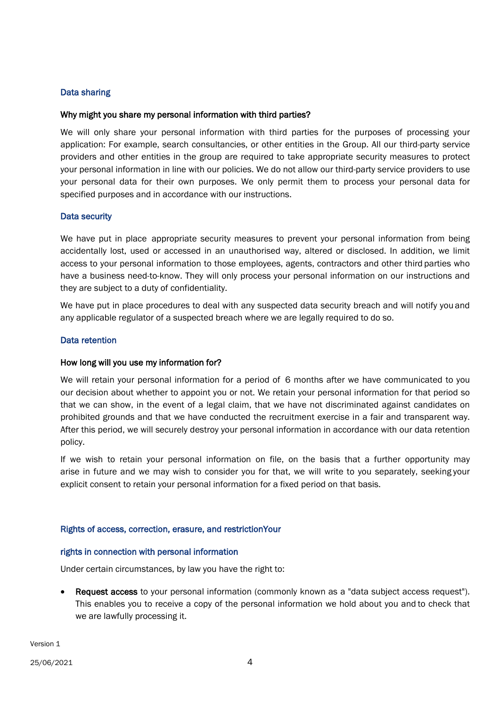# Data sharing

## Why might you share my personal information with third parties?

We will only share your personal information with third parties for the purposes of processing your application: For example, search consultancies, or other entities in the Group. All our third-party service providers and other entities in the group are required to take appropriate security measures to protect your personal information in line with our policies. We do not allow our third-party service providers to use your personal data for their own purposes. We only permit them to process your personal data for specified purposes and in accordance with our instructions.

## Data security

We have put in place appropriate security measures to prevent your personal information from being accidentally lost, used or accessed in an unauthorised way, altered or disclosed. In addition, we limit access to your personal information to those employees, agents, contractors and other third parties who have a business need-to-know. They will only process your personal information on our instructions and they are subject to a duty of confidentiality.

We have put in place procedures to deal with any suspected data security breach and will notify you and any applicable regulator of a suspected breach where we are legally required to do so.

### Data retention

### How long will you use my information for?

We will retain your personal information for a period of 6 months after we have communicated to you our decision about whether to appoint you or not. We retain your personal information for that period so that we can show, in the event of a legal claim, that we have not discriminated against candidates on prohibited grounds and that we have conducted the recruitment exercise in a fair and transparent way. After this period, we will securely destroy your personal information in accordance with our data retention policy.

If we wish to retain your personal information on file, on the basis that a further opportunity may arise in future and we may wish to consider you for that, we will write to you separately, seeking your explicit consent to retain your personal information for a fixed period on that basis.

### Rights of access, correction, erasure, and restriction Your

### rights in connection with personal information

Under certain circumstances, by law you have the right to:

• Request access to your personal information (commonly known as a "data subject access request"). This enables you to receive a copy of the personal information we hold about you and to check that we are lawfully processing it.